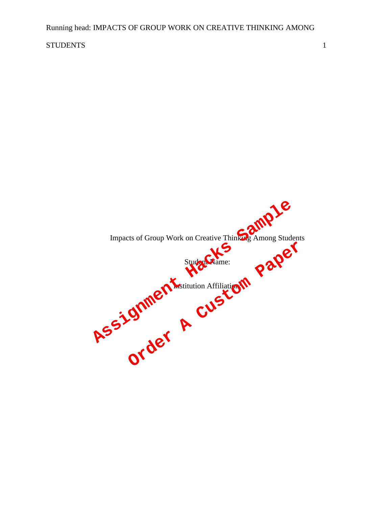# STUDENTS 1

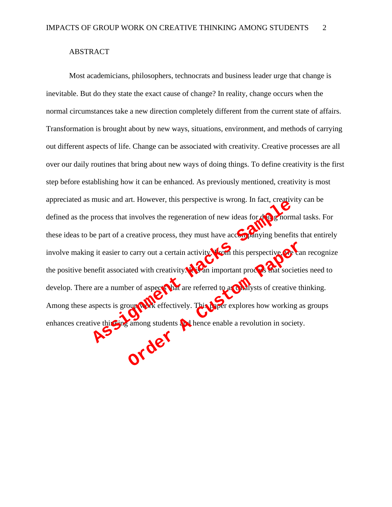# ABSTRACT

Most academicians, philosophers, technocrats and business leader urge that change is inevitable. But do they state the exact cause of change? In reality, change occurs when the normal circumstances take a new direction completely different from the current state of affairs. Transformation is brought about by new ways, situations, environment, and methods of carrying out different aspects of life. Change can be associated with creativity. Creative processes are all over our daily routines that bring about new ways of doing things. To define creativity is the first step before establishing how it can be enhanced. As previously mentioned, creativity is most appreciated as music and art. However, this perspective is wrong. In fact, creativity can be defined as the process that involves the regeneration of new ideas for  $\frac{d}{d\mathbf{u}}$  mormal tasks. For these ideas to be part of a creative process, they must have accompanying benefits that entirely involve making it easier to carry out a certain activity. Then this perspective, we can recognize the positive benefit associated with creativity. It an important process that societies need to develop. There are a number of aspects that are referred to as callysts of creative thinking. Among these aspects is group work effectively. This paper explores how working as groups defined as the process that involves the regeneration of new ideas for dependent these ideas to be part of a creative process, they must have according benefits the movies making it easier to carry out a certain activity. Curry out a certain activity with this perspective. Can are the dividend with creativity. This perfect in process that societive the original space of a spectral are referred to as **Culture of the societive of the contract**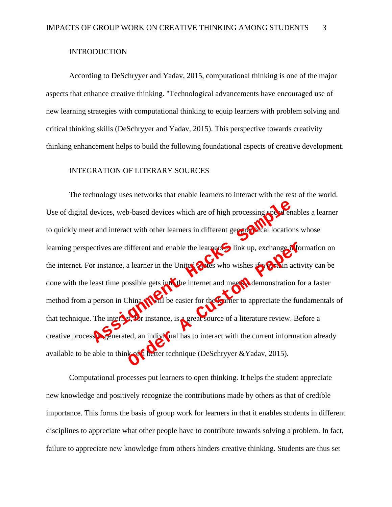### INTRODUCTION

According to DeSchryyer and Yadav, 2015, computational thinking is one of the major aspects that enhance creative thinking. "Technological advancements have encouraged use of new learning strategies with computational thinking to equip learners with problem solving and critical thinking skills (DeSchryyer and Yadav, 2015). This perspective towards creativity thinking enhancement helps to build the following foundational aspects of creative development.

# INTEGRATION OF LITERARY SOURCES

The technology uses networks that enable learners to interact with the rest of the world. Use of digital devices, web-based devices which are of high processing speed enables a learner to quickly meet and interact with other learners in different geographical locations whose learning perspectives are different and enable the learners to link up, exchange information on the internet. For instance, a learner in the United States who wishes if a certain activity can be done with the least time possible gets into the internet and meets a demonstration for a faster method from a person in China,  $\mathbf{I}$  in the easier for the  $\mathbf{C}$  arner to appreciate the fundamentals of that technique. The internet, for instance, is a great source of a literature review. Before a creative process is generated, an individual has to interact with the current information already available to be able to think of a better technique (DeSchryyer & Yadav, 2015). tevices, web-based devices which are of high processing speak ent<br>t and interact with other learners in different geographical location<br>ectives are different and enable the learners link up, exchange in<br>or instance, a lear Extreme and enable the learners in the United Soles who wishes if a Culture and a learner in the United Soles who wishes if a Culture active solel and the enterned and meet Codemonstration for the casier for the Current to

Computational processes put learners to open thinking. It helps the student appreciate new knowledge and positively recognize the contributions made by others as that of credible importance. This forms the basis of group work for learners in that it enables students in different disciplines to appreciate what other people have to contribute towards solving a problem. In fact, failure to appreciate new knowledge from others hinders creative thinking. Students are thus set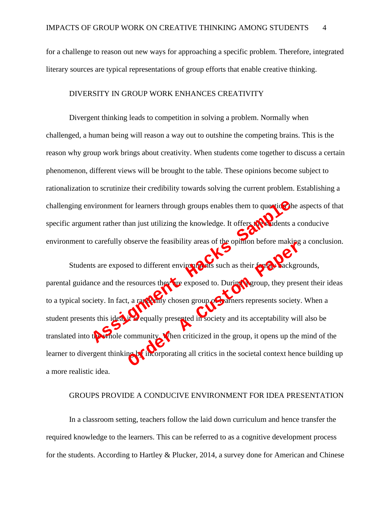for a challenge to reason out new ways for approaching a specific problem. Therefore, integrated literary sources are typical representations of group efforts that enable creative thinking.

#### DIVERSITY IN GROUP WORK ENHANCES CREATIVITY

Divergent thinking leads to competition in solving a problem. Normally when challenged, a human being will reason a way out to outshine the competing brains. This is the reason why group work brings about creativity. When students come together to discuss a certain phenomenon, different views will be brought to the table. These opinions become subject to rationalization to scrutinize their credibility towards solving the current problem. Establishing a challenging environment for learners through groups enables them to question the aspects of that specific argument rather than just utilizing the knowledge. It offers  $t_0$  and  $\alpha$  and  $\alpha$  and  $\alpha$  and  $\alpha$  is  $\alpha$ environment to carefully observe the feasibility areas of the opinion before making a conclusion.

Students are exposed to different environments such as their family backgrounds, parental guidance and the resources they are exposed to. During a group, they present their ideas to a typical society. In fact, a randomly chosen group of learners represents society. When a student presents this idea, it is equally presented in society and its acceptability will also be translated into the whole community. When criticized in the group, it opens up the mind of the learner to divergent thinking by incorporating all critics in the societal context hence building up a more realistic idea. When the state of the state of the state of the state of the state of the state of the state of the state of the state of the state of the state of the state of the state of the state of the state of the state of the state ed to different environments such as their fame Cackgro<br>resources they the exposed to. During Ogroup, they prese<br>a a range Culty chosen group of althers represents society.<br>Quality presented in society and its acceptabilit

# GROUPS PROVIDE A CONDUCIVE ENVIRONMENT FOR IDEA PRESENTATION

In a classroom setting, teachers follow the laid down curriculum and hence transfer the required knowledge to the learners. This can be referred to as a cognitive development process for the students. According to Hartley & Plucker, 2014, a survey done for American and Chinese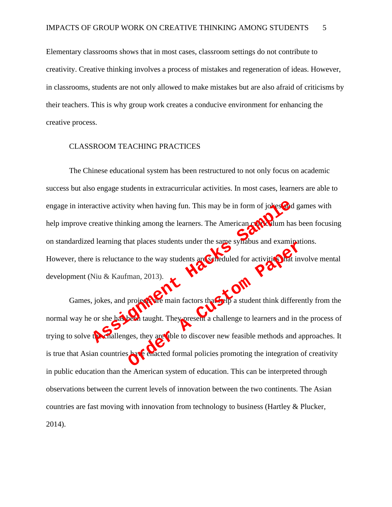Elementary classrooms shows that in most cases, classroom settings do not contribute to creativity. Creative thinking involves a process of mistakes and regeneration of ideas. However, in classrooms, students are not only allowed to make mistakes but are also afraid of criticisms by their teachers. This is why group work creates a conducive environment for enhancing the creative process.

# CLASSROOM TEACHING PRACTICES

The Chinese educational system has been restructured to not only focus on academic success but also engage students in extracurricular activities. In most cases, learners are able to engage in interactive activity when having fun. This may be in form of jokes and games with help improve creative thinking among the learners. The American curriculum has been focusing on standardized learning that places students under the same syllabus and examinations. However, there is reluctance to the way students are scheduled for activities that involve mental development (Niu & Kaufman, 2013). active activity when having fun. This may be in form of jokes and<br>reative thinking among the learners. The American comparation has<br>d learning that places students under the same symbols and examin<br>is is reluctance to the

Games, jokes, and project the main factors that  $\mathcal{L}_{\text{eff}}$  a student think differently from the normal way he or she has been taught. They present a challenge to learners and in the process of trying to solve the challenges, they are able to discover new feasible methods and approaches. It is true that Asian countries have enacted formal policies promoting the integration of creativity in public education than the American system of education. This can be interpreted through observations between the current levels of innovation between the two continents. The Asian countries are fast moving with innovation from technology to business (Hartley & Plucker, 2014). Ce to the way students are Comedia of Synabus and examined<br>the order A custom and a control of the main factors that the a student think different<br>project of main factors that the present a challenge to learners and in the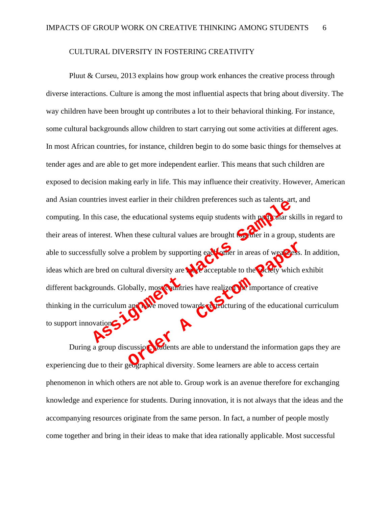### CULTURAL DIVERSITY IN FOSTERING CREATIVITY

Pluut & Curseu, 2013 explains how group work enhances the creative process through diverse interactions. Culture is among the most influential aspects that bring about diversity. The way children have been brought up contributes a lot to their behavioral thinking. For instance, some cultural backgrounds allow children to start carrying out some activities at different ages. In most African countries, for instance, children begin to do some basic things for themselves at tender ages and are able to get more independent earlier. This means that such children are exposed to decision making early in life. This may influence their creativity. However, American and Asian countries invest earlier in their children preferences such as talents, art, and computing. In this case, the educational systems equip students with particular skills in regard to their areas of interest. When these cultural values are brought to gether in a group, students are able to successfully solve a problem by supporting each other in areas of weakness. In addition, ideas which are bred on cultural diversity are  $\mathbf{R}$  acceptable to the socially which exhibit different backgrounds. Globally, most countries have realized the importance of creative thinking in the curriculum and have moved towards restructuring of the educational curriculum to support innovation. this case, the educational systems equip students with paper and a therest. When these cultural values are brought to the paper in a group<br>fully solve a problem by supporting each offer in a group<br>fully solve a problem by a problem by supporting each part in areas of weakers.<br>
Iltural diversity are a corrected be to the party which<br>
bally, most puntities have realized to the party which<br>
and the moved towards to understand the educational<br>

During a group discussion, students are able to understand the information gaps they are experiencing due to their geographical diversity. Some learners are able to access certain phenomenon in which others are not able to. Group work is an avenue therefore for exchanging knowledge and experience for students. During innovation, it is not always that the ideas and the accompanying resources originate from the same person. In fact, a number of people mostly come together and bring in their ideas to make that idea rationally applicable. Most successful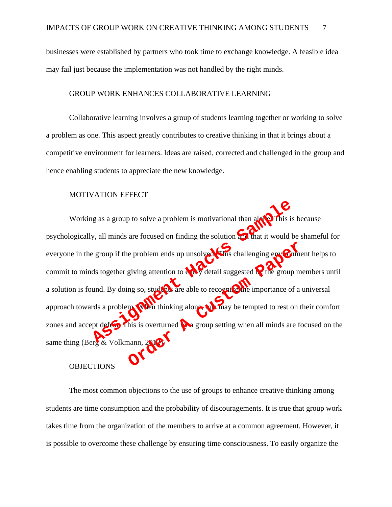businesses were established by partners who took time to exchange knowledge. A feasible idea may fail just because the implementation was not handled by the right minds.

# GROUP WORK ENHANCES COLLABORATIVE LEARNING

Collaborative learning involves a group of students learning together or working to solve a problem as one. This aspect greatly contributes to creative thinking in that it brings about a competitive environment for learners. Ideas are raised, corrected and challenged in the group and hence enabling students to appreciate the new knowledge.

#### MOTIVATION EFFECT

Working as a group to solve a problem is motivational than alone. This is because psychologically, all minds are focused on finding the solution and that it would be shameful for everyone in the group if the problem ends up unsolved. This challenging environment helps to commit to minds together giving attention to  $\mathcal{C}$  detail suggested  $\mathcal{C}$  the group members until a solution is found. By doing so, students are able to recognize the importance of a universal approach towards a problem. When thinking alone, only may be tempted to rest on their comfort zones and accept defeat. This is overturned the a group setting when all minds are focused on the same thing (Berg & Volkmann, 20 **OBJECTIONS** But a group to solve a problem is motivational than alger This is<br>y, all minds are focused on finding the solution of that it would be<br>group if the problem ends up unsolved this challenging environments<br>ds together giving e problem ends up unsolved this challenging environments<br>giving attention to the detail suggested by the group m<br>ng so, student are able to recognic the importance of a<br>my setting along the map may be tempted to rest on t<br>

The most common objections to the use of groups to enhance creative thinking among students are time consumption and the probability of discouragements. It is true that group work takes time from the organization of the members to arrive at a common agreement. However, it is possible to overcome these challenge by ensuring time consciousness. To easily organize the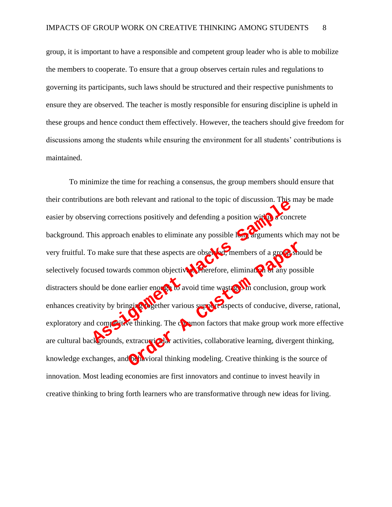group, it is important to have a responsible and competent group leader who is able to mobilize the members to cooperate. To ensure that a group observes certain rules and regulations to governing its participants, such laws should be structured and their respective punishments to ensure they are observed. The teacher is mostly responsible for ensuring discipline is upheld in these groups and hence conduct them effectively. However, the teachers should give freedom for discussions among the students while ensuring the environment for all students' contributions is maintained.

To minimize the time for reaching a consensus, the group members should ensure that their contributions are both relevant and rational to the topic of discussion. This may be made easier by observing corrections positively and defending a position with a concrete background. This approach enables to eliminate any possible long arguments which may not be very fruitful. To make sure that these aspects are observed, members of a group should be selectively focused towards common objectives. Therefore, elimination of any possible distracters should be done earlier enough to avoid time wastage. In conclusion, group work enhances creativity by bringing to gether various support aspects of conducive, diverse, rational, exploratory and competitive thinking. The common factors that make group work more effective are cultural backgrounds, extracurricular activities, collaborative learning, divergent thinking, knowledge exchanges, and **behavioral thinking modeling.** Creative thinking is the source of innovation. Most leading economies are first innovators and continue to invest heavily in creative thinking to bring forth learners who are transformative through new ideas for living. The term of the sense of the sense of the sense of the sense of the sense of the sense of the sense of the sense of the sense of the sense of the sense of the sense of the sense of the sense of the sense of the sense of th Extractive of the thinking modeling. Creative thinking is the set of the thinking modeling. Creative thinking is the set of conductive of thinking. The company faspects of conductive, divergently activities, collaborative